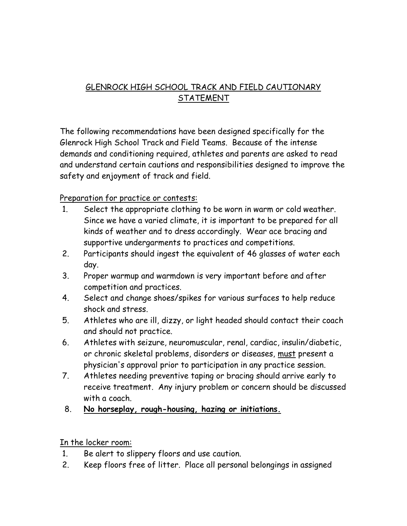# GLENROCK HIGH SCHOOL TRACK AND FIELD CAUTIONARY STATEMENT

The following recommendations have been designed specifically for the Glenrock High School Track and Field Teams. Because of the intense demands and conditioning required, athletes and parents are asked to read and understand certain cautions and responsibilities designed to improve the safety and enjoyment of track and field.

#### Preparation for practice or contests:

- 1. Select the appropriate clothing to be worn in warm or cold weather. Since we have a varied climate, it is important to be prepared for all kinds of weather and to dress accordingly. Wear ace bracing and supportive undergarments to practices and competitions.
- 2. Participants should ingest the equivalent of 46 glasses of water each day.
- 3. Proper warmup and warmdown is very important before and after competition and practices.
- 4. Select and change shoes/spikes for various surfaces to help reduce shock and stress.
- 5. Athletes who are ill, dizzy, or light headed should contact their coach and should not practice.
- 6. Athletes with seizure, neuromuscular, renal, cardiac, insulin/diabetic, or chronic skeletal problems, disorders or diseases, must present a physician's approval prior to participation in any practice session.
- 7. Athletes needing preventive taping or bracing should arrive early to receive treatment. Any injury problem or concern should be discussed with a coach.
- 8. **No horseplay, rough-housing, hazing or initiations.**

In the locker room:

- 1. Be alert to slippery floors and use caution.
- 2. Keep floors free of litter. Place all personal belongings in assigned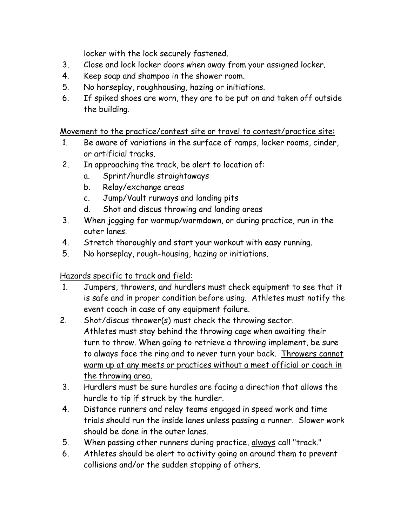locker with the lock securely fastened.

- 3. Close and lock locker doors when away from your assigned locker.
- 4. Keep soap and shampoo in the shower room.
- 5. No horseplay, roughhousing, hazing or initiations.
- 6. If spiked shoes are worn, they are to be put on and taken off outside the building.

Movement to the practice/contest site or travel to contest/practice site:

- 1. Be aware of variations in the surface of ramps, locker rooms, cinder, or artificial tracks.
- 2. In approaching the track, be alert to location of:
	- a. Sprint/hurdle straightaways
	- b. Relay/exchange areas
	- c. Jump/Vault runways and landing pits
	- d. Shot and discus throwing and landing areas
- 3. When jogging for warmup/warmdown, or during practice, run in the outer lanes.
- 4. Stretch thoroughly and start your workout with easy running.
- 5. No horseplay, rough-housing, hazing or initiations.

Hazards specific to track and field:

- 1. Jumpers, throwers, and hurdlers must check equipment to see that it is safe and in proper condition before using. Athletes must notify the event coach in case of any equipment failure.
- 2. Shot/discus thrower(s) must check the throwing sector. Athletes must stay behind the throwing cage when awaiting their turn to throw. When going to retrieve a throwing implement, be sure to always face the ring and to never turn your back. Throwers cannot warm up at any meets or practices without a meet official or coach in the throwing area.
- 3. Hurdlers must be sure hurdles are facing a direction that allows the hurdle to tip if struck by the hurdler.
- 4. Distance runners and relay teams engaged in speed work and time trials should run the inside lanes unless passing a runner. Slower work should be done in the outer lanes.
- 5. When passing other runners during practice, always call "track."
- 6. Athletes should be alert to activity going on around them to prevent collisions and/or the sudden stopping of others.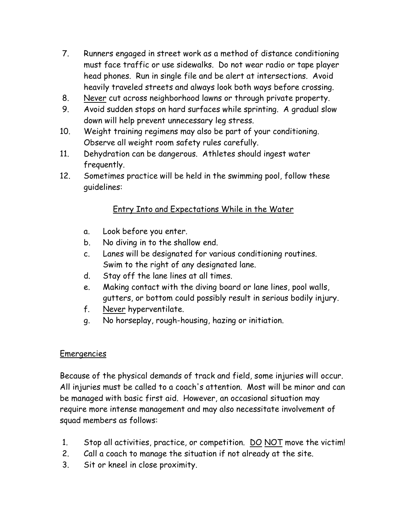- 7. Runners engaged in street work as a method of distance conditioning must face traffic or use sidewalks. Do not wear radio or tape player head phones. Run in single file and be alert at intersections. Avoid heavily traveled streets and always look both ways before crossing.
- 8. Never cut across neighborhood lawns or through private property.
- 9. Avoid sudden stops on hard surfaces while sprinting. A gradual slow down will help prevent unnecessary leg stress.
- 10. Weight training regimens may also be part of your conditioning. Observe all weight room safety rules carefully.
- 11. Dehydration can be dangerous. Athletes should ingest water frequently.
- 12. Sometimes practice will be held in the swimming pool, follow these guidelines:

## Entry Into and Expectations While in the Water

- a. Look before you enter.
- b. No diving in to the shallow end.
- c. Lanes will be designated for various conditioning routines. Swim to the right of any designated lane.
- d. Stay off the lane lines at all times.
- e. Making contact with the diving board or lane lines, pool walls, gutters, or bottom could possibly result in serious bodily injury.
- f. Never hyperventilate.
- g. No horseplay, rough-housing, hazing or initiation.

### Emergencies

Because of the physical demands of track and field, some injuries will occur. All injuries must be called to a coach's attention. Most will be minor and can be managed with basic first aid. However, an occasional situation may require more intense management and may also necessitate involvement of squad members as follows:

- 1. Stop all activities, practice, or competition. DO NOT move the victim!
- 2. Call a coach to manage the situation if not already at the site.
- 3. Sit or kneel in close proximity.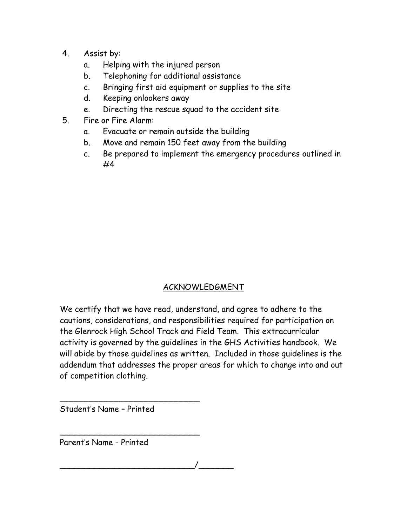- 4. Assist by:
	- a. Helping with the injured person
	- b. Telephoning for additional assistance
	- c. Bringing first aid equipment or supplies to the site
	- d. Keeping onlookers away
	- e. Directing the rescue squad to the accident site
- 5. Fire or Fire Alarm:
	- a. Evacuate or remain outside the building
	- b. Move and remain 150 feet away from the building
	- c. Be prepared to implement the emergency procedures outlined in #4

## ACKNOWLEDGMENT

We certify that we have read, understand, and agree to adhere to the cautions, considerations, and responsibilities required for participation on the Glenrock High School Track and Field Team. This extracurricular activity is governed by the guidelines in the GHS Activities handbook. We will abide by those guidelines as written. Included in those guidelines is the addendum that addresses the proper areas for which to change into and out of competition clothing.

Student's Name – Printed

\_\_\_\_\_\_\_\_\_\_\_\_\_\_\_\_\_\_\_\_\_\_\_\_\_\_\_\_

\_\_\_\_\_\_\_\_\_\_\_\_\_\_\_\_\_\_\_\_\_\_\_\_\_\_\_\_

Parent's Name - Printed

\_\_\_\_\_\_\_\_\_\_\_\_\_\_\_\_\_\_\_\_\_\_\_\_\_\_\_/\_\_\_\_\_\_\_